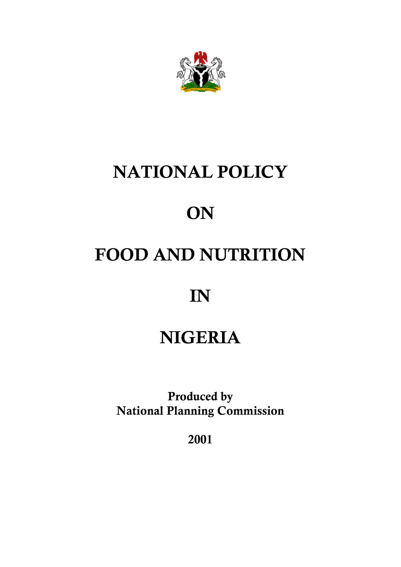

# **NATIONAL POLICY**

# **ON**

# **FOOD AND NUTRITION**

# **IN**

# **NIGERIA**

**Produced by National Planning Commission**

**2001**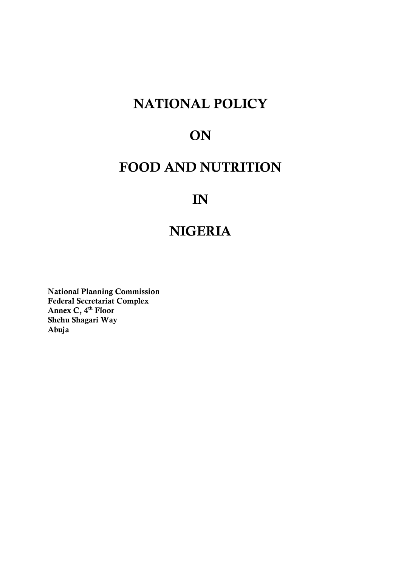# **NATIONAL POLICY**

# **ON**

# **FOOD AND NUTRITION**

# **IN**

# **NIGERIA**

**National Planning Commission Federal Secretariat Complex Annex C, 4th Floor Shehu Shagari Way Abuja**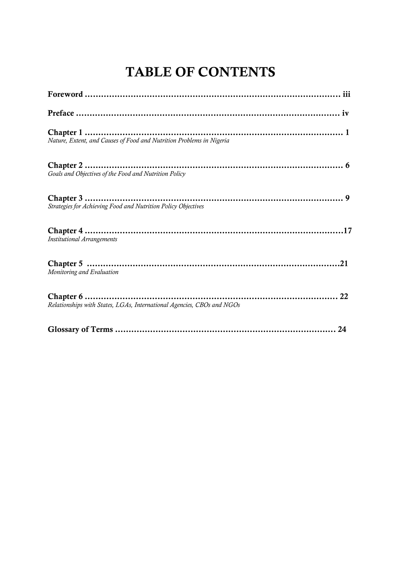# **TABLE OF CONTENTS**

| Nature, Extent, and Causes of Food and Nutrition Problems in Nigeria   |
|------------------------------------------------------------------------|
| Goals and Objectives of the Food and Nutrition Policy                  |
| Strategies for Achieving Food and Nutrition Policy Objectives          |
| <b>Institutional Arrangements</b>                                      |
| Monitoring and Evaluation                                              |
| Relationships with States, LGAs, International Agencies, CBOs and NGOs |
|                                                                        |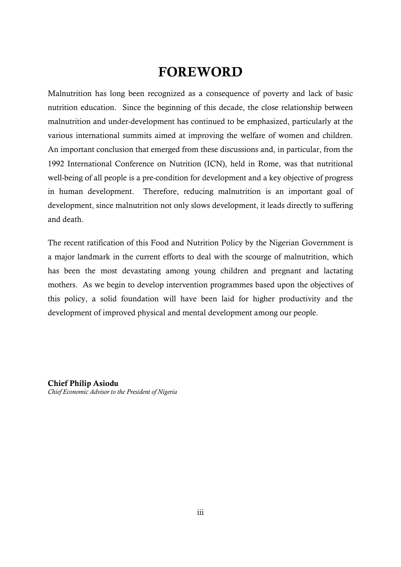# **FOREWORD**

Malnutrition has long been recognized as a consequence of poverty and lack of basic nutrition education. Since the beginning of this decade, the close relationship between malnutrition and under-development has continued to be emphasized, particularly at the various international summits aimed at improving the welfare of women and children. An important conclusion that emerged from these discussions and, in particular, from the 1992 International Conference on Nutrition (ICN), held in Rome, was that nutritional well-being of all people is a pre-condition for development and a key objective of progress in human development. Therefore, reducing malnutrition is an important goal of development, since malnutrition not only slows development, it leads directly to suffering and death.

The recent ratification of this Food and Nutrition Policy by the Nigerian Government is a major landmark in the current efforts to deal with the scourge of malnutrition, which has been the most devastating among young children and pregnant and lactating mothers. As we begin to develop intervention programmes based upon the objectives of this policy, a solid foundation will have been laid for higher productivity and the development of improved physical and mental development among our people.

**Chief Philip Asiodu** *Chief Economic Advisor to the President of Nigeria*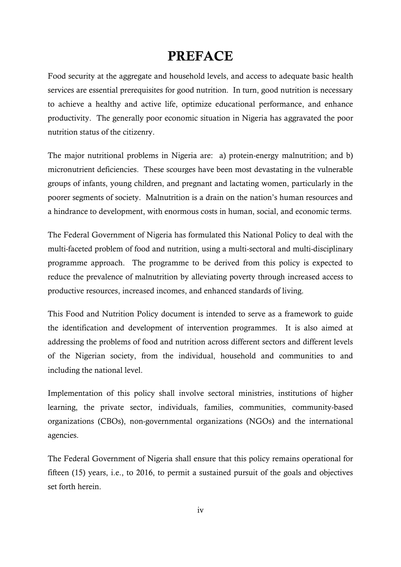# **PREFACE**

Food security at the aggregate and household levels, and access to adequate basic health services are essential prerequisites for good nutrition. In turn, good nutrition is necessary to achieve a healthy and active life, optimize educational performance, and enhance productivity. The generally poor economic situation in Nigeria has aggravated the poor nutrition status of the citizenry.

The major nutritional problems in Nigeria are: a) protein-energy malnutrition; and b) micronutrient deficiencies. These scourges have been most devastating in the vulnerable groups of infants, young children, and pregnant and lactating women, particularly in the poorer segments of society. Malnutrition is a drain on the nation's human resources and a hindrance to development, with enormous costs in human, social, and economic terms.

The Federal Government of Nigeria has formulated this National Policy to deal with the multi-faceted problem of food and nutrition, using a multi-sectoral and multi-disciplinary programme approach. The programme to be derived from this policy is expected to reduce the prevalence of malnutrition by alleviating poverty through increased access to productive resources, increased incomes, and enhanced standards of living.

This Food and Nutrition Policy document is intended to serve as a framework to guide the identification and development of intervention programmes. It is also aimed at addressing the problems of food and nutrition across different sectors and different levels of the Nigerian society, from the individual, household and communities to and including the national level.

Implementation of this policy shall involve sectoral ministries, institutions of higher learning, the private sector, individuals, families, communities, community-based organizations (CBOs), non-governmental organizations (NGOs) and the international agencies.

The Federal Government of Nigeria shall ensure that this policy remains operational for fifteen (15) years, i.e., to 2016, to permit a sustained pursuit of the goals and objectives set forth herein.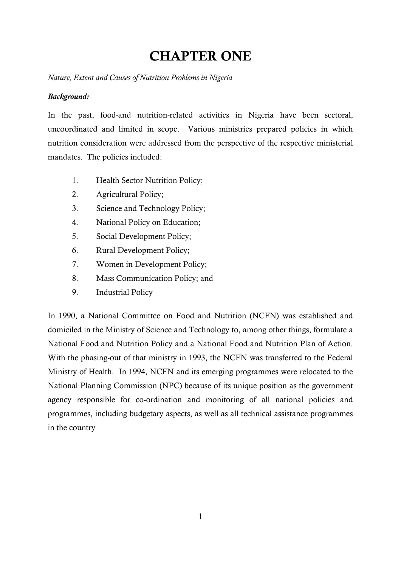# **CHAPTER ONE**

*Nature, Extent and Causes of Nutrition Problems in Nigeria*

### *Background:*

In the past, food-and nutrition-related activities in Nigeria have been sectoral, uncoordinated and limited in scope. Various ministries prepared policies in which nutrition consideration were addressed from the perspective of the respective ministerial mandates. The policies included:

- 1. Health Sector Nutrition Policy;
- 2. Agricultural Policy;
- 3. Science and Technology Policy;
- 4. National Policy on Education;
- 5. Social Development Policy;
- 6. Rural Development Policy;
- 7. Women in Development Policy;
- 8. Mass Communication Policy; and
- 9. Industrial Policy

In 1990, a National Committee on Food and Nutrition (NCFN) was established and domiciled in the Ministry of Science and Technology to, among other things, formulate a National Food and Nutrition Policy and a National Food and Nutrition Plan of Action. With the phasing-out of that ministry in 1993, the NCFN was transferred to the Federal Ministry of Health. In 1994, NCFN and its emerging programmes were relocated to the National Planning Commission (NPC) because of its unique position as the government agency responsible for co-ordination and monitoring of all national policies and programmes, including budgetary aspects, as well as all technical assistance programmes in the country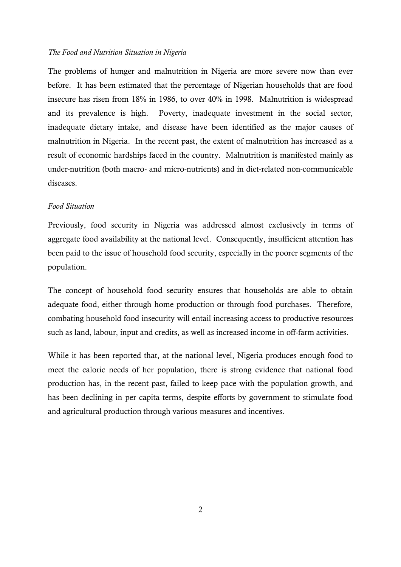#### *The Food and Nutrition Situation in Nigeria*

The problems of hunger and malnutrition in Nigeria are more severe now than ever before. It has been estimated that the percentage of Nigerian households that are food insecure has risen from 18% in 1986, to over 40% in 1998. Malnutrition is widespread and its prevalence is high. Poverty, inadequate investment in the social sector, inadequate dietary intake, and disease have been identified as the major causes of malnutrition in Nigeria. In the recent past, the extent of malnutrition has increased as a result of economic hardships faced in the country. Malnutrition is manifested mainly as under-nutrition (both macro- and micro-nutrients) and in diet-related non-communicable diseases.

#### *Food Situation*

Previously, food security in Nigeria was addressed almost exclusively in terms of aggregate food availability at the national level. Consequently, insufficient attention has been paid to the issue of household food security, especially in the poorer segments of the population.

The concept of household food security ensures that households are able to obtain adequate food, either through home production or through food purchases. Therefore, combating household food insecurity will entail increasing access to productive resources such as land, labour, input and credits, as well as increased income in off-farm activities.

While it has been reported that, at the national level, Nigeria produces enough food to meet the caloric needs of her population, there is strong evidence that national food production has, in the recent past, failed to keep pace with the population growth, and has been declining in per capita terms, despite efforts by government to stimulate food and agricultural production through various measures and incentives.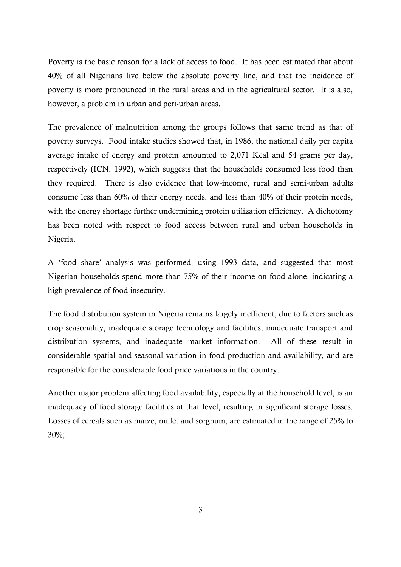Poverty is the basic reason for a lack of access to food. It has been estimated that about 40% of all Nigerians live below the absolute poverty line, and that the incidence of poverty is more pronounced in the rural areas and in the agricultural sector. It is also, however, a problem in urban and peri-urban areas.

The prevalence of malnutrition among the groups follows that same trend as that of poverty surveys. Food intake studies showed that, in 1986, the national daily per capita average intake of energy and protein amounted to 2,071 Kcal and 54 grams per day, respectively (ICN, 1992), which suggests that the households consumed less food than they required. There is also evidence that low-income, rural and semi-urban adults consume less than 60% of their energy needs, and less than 40% of their protein needs, with the energy shortage further undermining protein utilization efficiency. A dichotomy has been noted with respect to food access between rural and urban households in Nigeria.

A 'food share' analysis was performed, using 1993 data, and suggested that most Nigerian households spend more than 75% of their income on food alone, indicating a high prevalence of food insecurity.

The food distribution system in Nigeria remains largely inefficient, due to factors such as crop seasonality, inadequate storage technology and facilities, inadequate transport and distribution systems, and inadequate market information. All of these result in considerable spatial and seasonal variation in food production and availability, and are responsible for the considerable food price variations in the country.

Another major problem affecting food availability, especially at the household level, is an inadequacy of food storage facilities at that level, resulting in significant storage losses. Losses of cereals such as maize, millet and sorghum, are estimated in the range of 25% to 30%;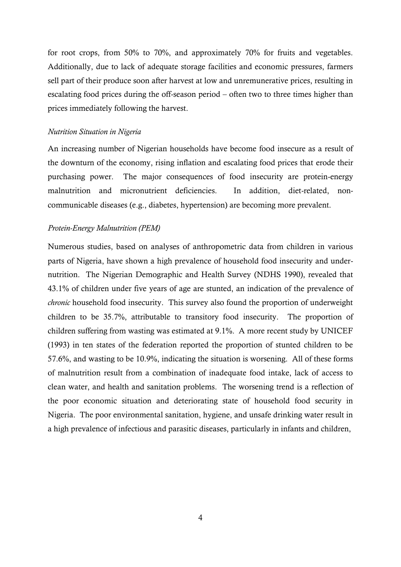for root crops, from 50% to 70%, and approximately 70% for fruits and vegetables. Additionally, due to lack of adequate storage facilities and economic pressures, farmers sell part of their produce soon after harvest at low and unremunerative prices, resulting in escalating food prices during the off-season period – often two to three times higher than prices immediately following the harvest.

#### *Nutrition Situation in Nigeria*

An increasing number of Nigerian households have become food insecure as a result of the downturn of the economy, rising inflation and escalating food prices that erode their purchasing power. The major consequences of food insecurity are protein-energy malnutrition and micronutrient deficiencies. In addition, diet-related, noncommunicable diseases (e.g., diabetes, hypertension) are becoming more prevalent.

#### *Protein-Energy Malnutrition (PEM)*

Numerous studies, based on analyses of anthropometric data from children in various parts of Nigeria, have shown a high prevalence of household food insecurity and undernutrition. The Nigerian Demographic and Health Survey (NDHS 1990), revealed that 43.1% of children under five years of age are stunted, an indication of the prevalence of *chronic* household food insecurity. This survey also found the proportion of underweight children to be 35.7%, attributable to transitory food insecurity. The proportion of children suffering from wasting was estimated at 9.1%. A more recent study by UNICEF (1993) in ten states of the federation reported the proportion of stunted children to be 57.6%, and wasting to be 10.9%, indicating the situation is worsening. All of these forms of malnutrition result from a combination of inadequate food intake, lack of access to clean water, and health and sanitation problems. The worsening trend is a reflection of the poor economic situation and deteriorating state of household food security in Nigeria. The poor environmental sanitation, hygiene, and unsafe drinking water result in a high prevalence of infectious and parasitic diseases, particularly in infants and children,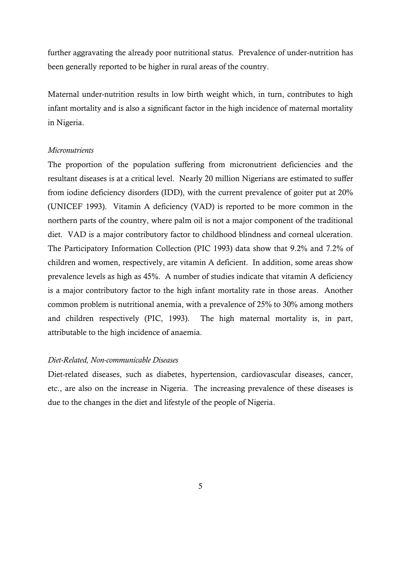further aggravating the already poor nutritional status. Prevalence of under-nutrition has been generally reported to be higher in rural areas of the country.

Maternal under-nutrition results in low birth weight which, in turn, contributes to high infant mortality and is also a significant factor in the high incidence of maternal mortality in Nigeria.

#### *Micronutrients*

The proportion of the population suffering from micronutrient deficiencies and the resultant diseases is at a critical level. Nearly 20 million Nigerians are estimated to suffer from iodine deficiency disorders (IDD), with the current prevalence of goiter put at 20% (UNICEF 1993). Vitamin A deficiency (VAD) is reported to be more common in the northern parts of the country, where palm oil is not a major component of the traditional diet. VAD is a major contributory factor to childhood blindness and corneal ulceration. The Participatory Information Collection (PIC 1993) data show that 9.2% and 7.2% of children and women, respectively, are vitamin A deficient. In addition, some areas show prevalence levels as high as 45%. A number of studies indicate that vitamin A deficiency is a major contributory factor to the high infant mortality rate in those areas. Another common problem is nutritional anemia, with a prevalence of 25% to 30% among mothers and children respectively (PIC, 1993). The high maternal mortality is, in part, attributable to the high incidence of anaemia.

#### *Diet-Related, Non-communicable Diseases*

Diet-related diseases, such as diabetes, hypertension, cardiovascular diseases, cancer, etc., are also on the increase in Nigeria. The increasing prevalence of these diseases is due to the changes in the diet and lifestyle of the people of Nigeria.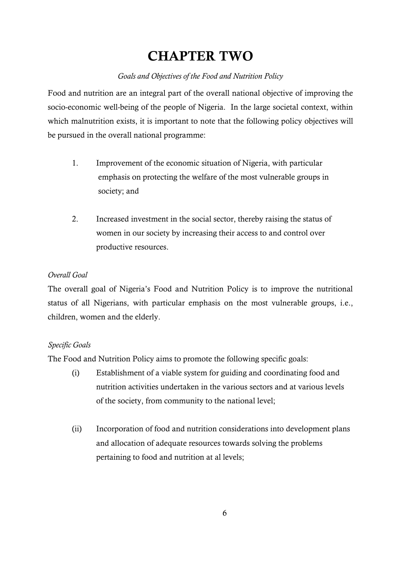# **CHAPTER TWO**

# *Goals and Objectives of the Food and Nutrition Policy*

Food and nutrition are an integral part of the overall national objective of improving the socio-economic well-being of the people of Nigeria. In the large societal context, within which malnutrition exists, it is important to note that the following policy objectives will be pursued in the overall national programme:

- 1. Improvement of the economic situation of Nigeria, with particular emphasis on protecting the welfare of the most vulnerable groups in society; and
- 2. Increased investment in the social sector, thereby raising the status of women in our society by increasing their access to and control over productive resources.

# *Overall Goal*

The overall goal of Nigeria's Food and Nutrition Policy is to improve the nutritional status of all Nigerians, with particular emphasis on the most vulnerable groups, i.e., children, women and the elderly.

# *Specific Goals*

The Food and Nutrition Policy aims to promote the following specific goals:

- (i) Establishment of a viable system for guiding and coordinating food and nutrition activities undertaken in the various sectors and at various levels of the society, from community to the national level;
- (ii) Incorporation of food and nutrition considerations into development plans and allocation of adequate resources towards solving the problems pertaining to food and nutrition at al levels;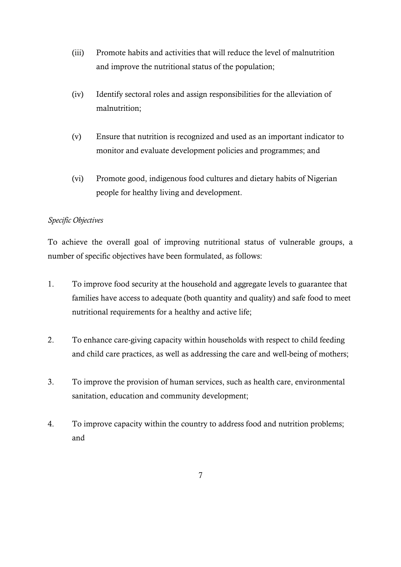- (iii) Promote habits and activities that will reduce the level of malnutrition and improve the nutritional status of the population;
- (iv) Identify sectoral roles and assign responsibilities for the alleviation of malnutrition;
- (v) Ensure that nutrition is recognized and used as an important indicator to monitor and evaluate development policies and programmes; and
- (vi) Promote good, indigenous food cultures and dietary habits of Nigerian people for healthy living and development.

# *Specific Objectives*

To achieve the overall goal of improving nutritional status of vulnerable groups, a number of specific objectives have been formulated, as follows:

- 1. To improve food security at the household and aggregate levels to guarantee that families have access to adequate (both quantity and quality) and safe food to meet nutritional requirements for a healthy and active life;
- 2. To enhance care-giving capacity within households with respect to child feeding and child care practices, as well as addressing the care and well-being of mothers;
- 3. To improve the provision of human services, such as health care, environmental sanitation, education and community development;
- 4. To improve capacity within the country to address food and nutrition problems; and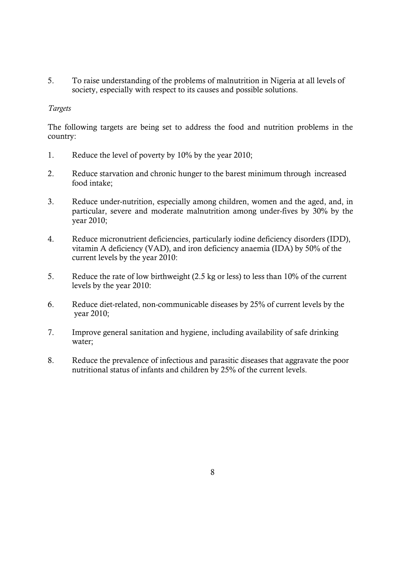5. To raise understanding of the problems of malnutrition in Nigeria at all levels of society, especially with respect to its causes and possible solutions.

### *Targets*

The following targets are being set to address the food and nutrition problems in the country:

- 1. Reduce the level of poverty by 10% by the year 2010;
- 2. Reduce starvation and chronic hunger to the barest minimum through increased food intake;
- 3. Reduce under-nutrition, especially among children, women and the aged, and, in particular, severe and moderate malnutrition among under-fives by 30% by the year 2010;
- 4. Reduce micronutrient deficiencies, particularly iodine deficiency disorders (IDD), vitamin A deficiency (VAD), and iron deficiency anaemia (IDA) by 50% of the current levels by the year 2010:
- 5. Reduce the rate of low birthweight (2.5 kg or less) to less than 10% of the current levels by the year 2010:
- 6. Reduce diet-related, non-communicable diseases by 25% of current levels by the year 2010;
- 7. Improve general sanitation and hygiene, including availability of safe drinking water;
- 8. Reduce the prevalence of infectious and parasitic diseases that aggravate the poor nutritional status of infants and children by 25% of the current levels.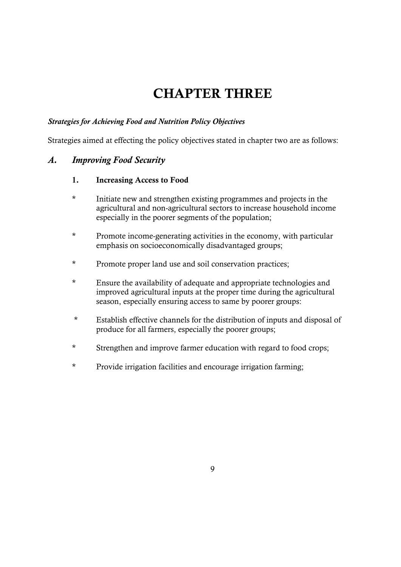# **CHAPTER THREE**

### *Strategies for Achieving Food and Nutrition Policy Objectives*

Strategies aimed at effecting the policy objectives stated in chapter two are as follows:

### *A. Improving Food Security*

- **1. Increasing Access to Food**
- \* Initiate new and strengthen existing programmes and projects in the agricultural and non-agricultural sectors to increase household income especially in the poorer segments of the population;
- \* Promote income-generating activities in the economy, with particular emphasis on socioeconomically disadvantaged groups;
- \* Promote proper land use and soil conservation practices;
- \* Ensure the availability of adequate and appropriate technologies and improved agricultural inputs at the proper time during the agricultural season, especially ensuring access to same by poorer groups:
- \* Establish effective channels for the distribution of inputs and disposal of produce for all farmers, especially the poorer groups;
- \* Strengthen and improve farmer education with regard to food crops;
- \* Provide irrigation facilities and encourage irrigation farming;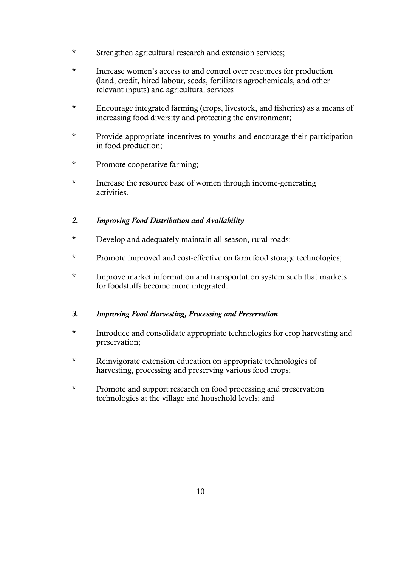- \* Strengthen agricultural research and extension services;
- \* Increase women's access to and control over resources for production (land, credit, hired labour, seeds, fertilizers agrochemicals, and other relevant inputs) and agricultural services
- \* Encourage integrated farming (crops, livestock, and fisheries) as a means of increasing food diversity and protecting the environment;
- \* Provide appropriate incentives to youths and encourage their participation in food production;
- \* Promote cooperative farming;
- \* Increase the resource base of women through income-generating activities.

### *2. Improving Food Distribution and Availability*

- \* Develop and adequately maintain all-season, rural roads;
- \* Promote improved and cost-effective on farm food storage technologies;
- \* Improve market information and transportation system such that markets for foodstuffs become more integrated.

### *3. Improving Food Harvesting, Processing and Preservation*

- \* Introduce and consolidate appropriate technologies for crop harvesting and preservation;
- \* Reinvigorate extension education on appropriate technologies of harvesting, processing and preserving various food crops;
- \* Promote and support research on food processing and preservation technologies at the village and household levels; and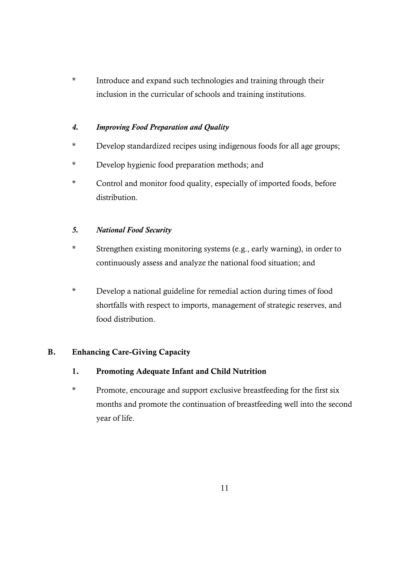\* Introduce and expand such technologies and training through their inclusion in the curricular of schools and training institutions.

# *4. Improving Food Preparation and Quality*

- \* Develop standardized recipes using indigenous foods for all age groups;
- \* Develop hygienic food preparation methods; and
- \* Control and monitor food quality, especially of imported foods, before distribution.

# *5. National Food Security*

- \* Strengthen existing monitoring systems (e.g., early warning), in order to continuously assess and analyze the national food situation; and
- \* Develop a national guideline for remedial action during times of food shortfalls with respect to imports, management of strategic reserves, and food distribution.

# **B. Enhancing Care-Giving Capacity**

- **1. Promoting Adequate Infant and Child Nutrition**
- \* Promote, encourage and support exclusive breastfeeding for the first six months and promote the continuation of breastfeeding well into the second year of life.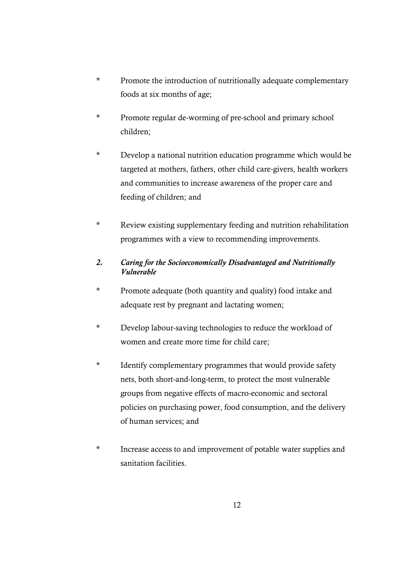- \* Promote the introduction of nutritionally adequate complementary foods at six months of age;
- \* Promote regular de-worming of pre-school and primary school children;
- \* Develop a national nutrition education programme which would be targeted at mothers, fathers, other child care-givers, health workers and communities to increase awareness of the proper care and feeding of children; and
- \* Review existing supplementary feeding and nutrition rehabilitation programmes with a view to recommending improvements.

# *2. Caring for the Socioeconomically Disadvantaged and Nutritionally Vulnerable*

- \* Promote adequate (both quantity and quality) food intake and adequate rest by pregnant and lactating women;
- \* Develop labour-saving technologies to reduce the workload of women and create more time for child care;
- \* Identify complementary programmes that would provide safety nets, both short-and-long-term, to protect the most vulnerable groups from negative effects of macro-economic and sectoral policies on purchasing power, food consumption, and the delivery of human services; and
- \* Increase access to and improvement of potable water supplies and sanitation facilities.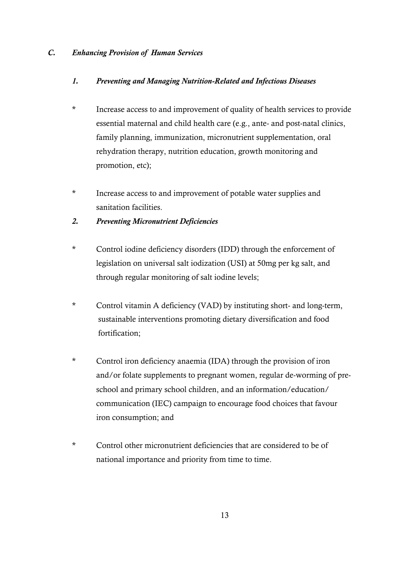### *C. Enhancing Provision of Human Services*

### *1. Preventing and Managing Nutrition-Related and Infectious Diseases*

- \* Increase access to and improvement of quality of health services to provide essential maternal and child health care (e.g., ante- and post-natal clinics, family planning, immunization, micronutrient supplementation, oral rehydration therapy, nutrition education, growth monitoring and promotion, etc);
- \* Increase access to and improvement of potable water supplies and sanitation facilities.
- *2. Preventing Micronutrient Deficiencies*
- \* Control iodine deficiency disorders (IDD) through the enforcement of legislation on universal salt iodization (USI) at 50mg per kg salt, and through regular monitoring of salt iodine levels;
- \* Control vitamin A deficiency (VAD) by instituting short- and long-term, sustainable interventions promoting dietary diversification and food fortification;
- \* Control iron deficiency anaemia (IDA) through the provision of iron and/or folate supplements to pregnant women, regular de-worming of preschool and primary school children, and an information/education/ communication (IEC) campaign to encourage food choices that favour iron consumption; and
- \* Control other micronutrient deficiencies that are considered to be of national importance and priority from time to time.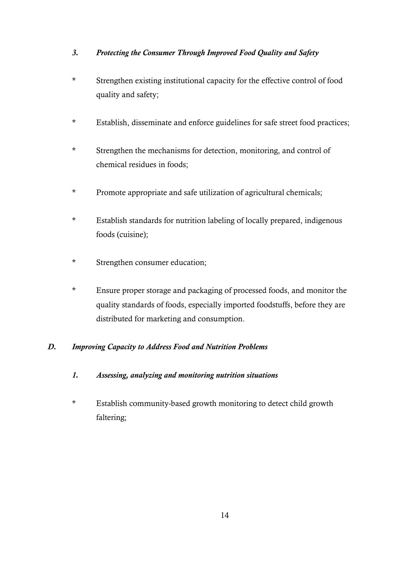# *3. Protecting the Consumer Through Improved Food Quality and Safety*

- \* Strengthen existing institutional capacity for the effective control of food quality and safety;
- \* Establish, disseminate and enforce guidelines for safe street food practices;
- \* Strengthen the mechanisms for detection, monitoring, and control of chemical residues in foods;
- \* Promote appropriate and safe utilization of agricultural chemicals;
- \* Establish standards for nutrition labeling of locally prepared, indigenous foods (cuisine);
- \* Strengthen consumer education;
- \* Ensure proper storage and packaging of processed foods, and monitor the quality standards of foods, especially imported foodstuffs, before they are distributed for marketing and consumption.

# *D. Improving Capacity to Address Food and Nutrition Problems*

- *1. Assessing, analyzing and monitoring nutrition situations*
- \* Establish community-based growth monitoring to detect child growth faltering;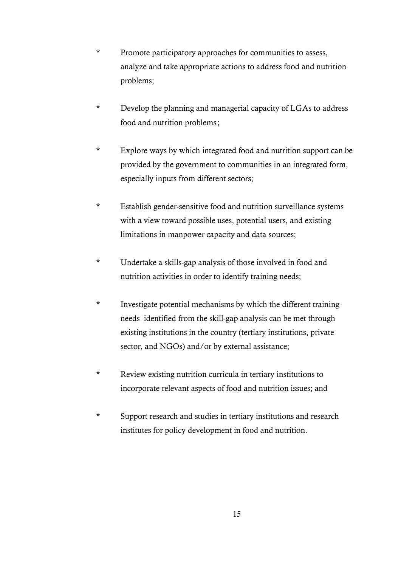- \* Promote participatory approaches for communities to assess, analyze and take appropriate actions to address food and nutrition problems;
- \* Develop the planning and managerial capacity of LGAs to address food and nutrition problems;
- \* Explore ways by which integrated food and nutrition support can be provided by the government to communities in an integrated form, especially inputs from different sectors;
- \* Establish gender-sensitive food and nutrition surveillance systems with a view toward possible uses, potential users, and existing limitations in manpower capacity and data sources;
- \* Undertake a skills-gap analysis of those involved in food and nutrition activities in order to identify training needs;
- \* Investigate potential mechanisms by which the different training needs identified from the skill-gap analysis can be met through existing institutions in the country (tertiary institutions, private sector, and NGOs) and/or by external assistance;
- \* Review existing nutrition curricula in tertiary institutions to incorporate relevant aspects of food and nutrition issues; and
- \* Support research and studies in tertiary institutions and research institutes for policy development in food and nutrition.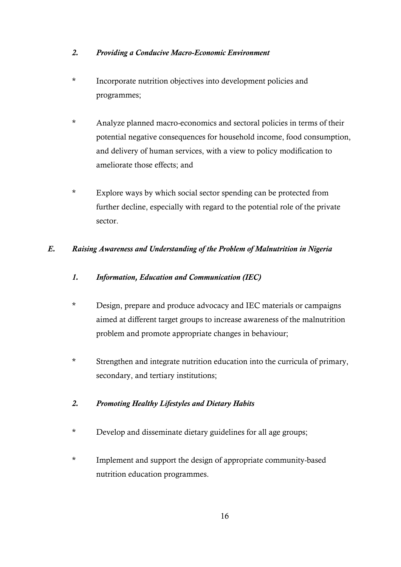### *2. Providing a Conducive Macro-Economic Environment*

- \* Incorporate nutrition objectives into development policies and programmes;
- \* Analyze planned macro-economics and sectoral policies in terms of their potential negative consequences for household income, food consumption, and delivery of human services, with a view to policy modification to ameliorate those effects; and
- \* Explore ways by which social sector spending can be protected from further decline, especially with regard to the potential role of the private sector.

# *E. Raising Awareness and Understanding of the Problem of Malnutrition in Nigeria*

- *1. Information, Education and Communication (IEC)*
- \* Design, prepare and produce advocacy and IEC materials or campaigns aimed at different target groups to increase awareness of the malnutrition problem and promote appropriate changes in behaviour;
- \* Strengthen and integrate nutrition education into the curricula of primary, secondary, and tertiary institutions;

# *2. Promoting Healthy Lifestyles and Dietary Habits*

- \* Develop and disseminate dietary guidelines for all age groups;
- \* Implement and support the design of appropriate community-based nutrition education programmes.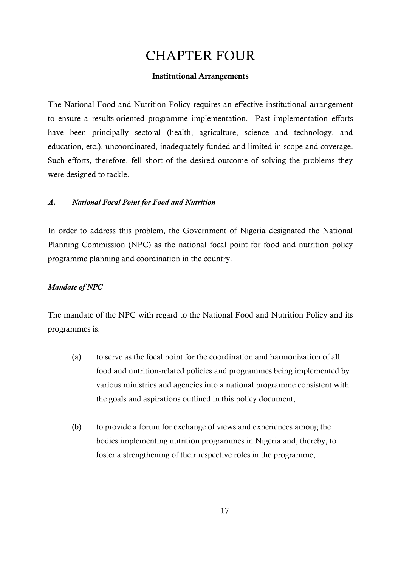# CHAPTER FOUR

### **Institutional Arrangements**

The National Food and Nutrition Policy requires an effective institutional arrangement to ensure a results-oriented programme implementation. Past implementation efforts have been principally sectoral (health, agriculture, science and technology, and education, etc.), uncoordinated, inadequately funded and limited in scope and coverage. Such efforts, therefore, fell short of the desired outcome of solving the problems they were designed to tackle.

### *A. National Focal Point for Food and Nutrition*

In order to address this problem, the Government of Nigeria designated the National Planning Commission (NPC) as the national focal point for food and nutrition policy programme planning and coordination in the country.

### *Mandate of NPC*

The mandate of the NPC with regard to the National Food and Nutrition Policy and its programmes is:

- (a) to serve as the focal point for the coordination and harmonization of all food and nutrition-related policies and programmes being implemented by various ministries and agencies into a national programme consistent with the goals and aspirations outlined in this policy document;
- (b) to provide a forum for exchange of views and experiences among the bodies implementing nutrition programmes in Nigeria and, thereby, to foster a strengthening of their respective roles in the programme;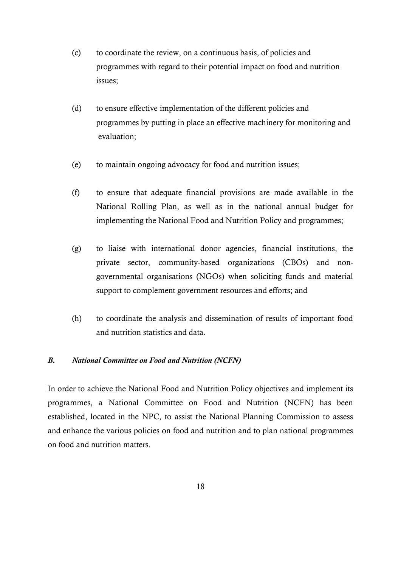- (c) to coordinate the review, on a continuous basis, of policies and programmes with regard to their potential impact on food and nutrition issues;
- (d) to ensure effective implementation of the different policies and programmes by putting in place an effective machinery for monitoring and evaluation;
- (e) to maintain ongoing advocacy for food and nutrition issues;
- (f) to ensure that adequate financial provisions are made available in the National Rolling Plan, as well as in the national annual budget for implementing the National Food and Nutrition Policy and programmes;
- (g) to liaise with international donor agencies, financial institutions, the private sector, community-based organizations (CBOs) and nongovernmental organisations (NGOs) when soliciting funds and material support to complement government resources and efforts; and
- (h) to coordinate the analysis and dissemination of results of important food and nutrition statistics and data.

### *B. National Committee on Food and Nutrition (NCFN)*

In order to achieve the National Food and Nutrition Policy objectives and implement its programmes, a National Committee on Food and Nutrition (NCFN) has been established, located in the NPC, to assist the National Planning Commission to assess and enhance the various policies on food and nutrition and to plan national programmes on food and nutrition matters.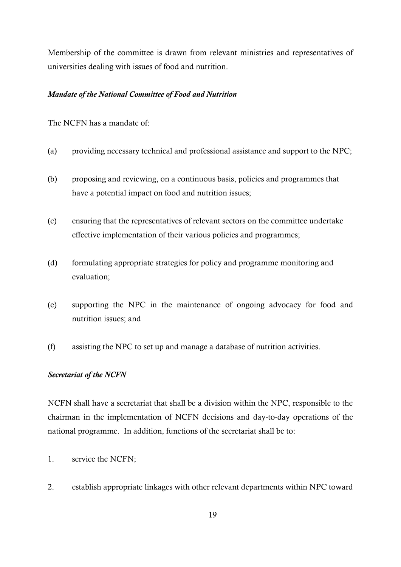Membership of the committee is drawn from relevant ministries and representatives of universities dealing with issues of food and nutrition.

#### *Mandate of the National Committee of Food and Nutrition*

The NCFN has a mandate of:

- (a) providing necessary technical and professional assistance and support to the NPC;
- (b) proposing and reviewing, on a continuous basis, policies and programmes that have a potential impact on food and nutrition issues;
- (c) ensuring that the representatives of relevant sectors on the committee undertake effective implementation of their various policies and programmes;
- (d) formulating appropriate strategies for policy and programme monitoring and evaluation;
- (e) supporting the NPC in the maintenance of ongoing advocacy for food and nutrition issues; and
- (f) assisting the NPC to set up and manage a database of nutrition activities.

### *Secretariat of the NCFN*

NCFN shall have a secretariat that shall be a division within the NPC, responsible to the chairman in the implementation of NCFN decisions and day-to-day operations of the national programme. In addition, functions of the secretariat shall be to:

- 1. service the NCFN;
- 2. establish appropriate linkages with other relevant departments within NPC toward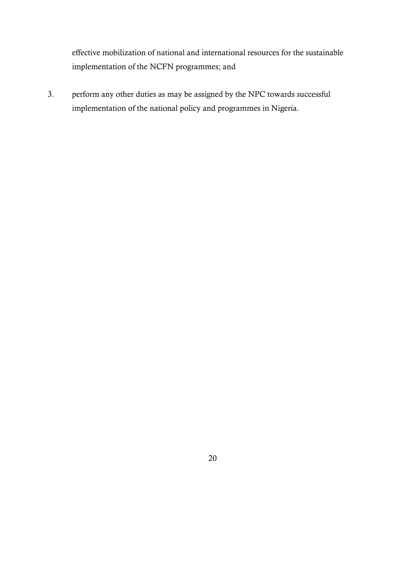effective mobilization of national and international resources for the sustainable implementation of the NCFN programmes; and

3. perform any other duties as may be assigned by the NPC towards successful implementation of the national policy and programmes in Nigeria.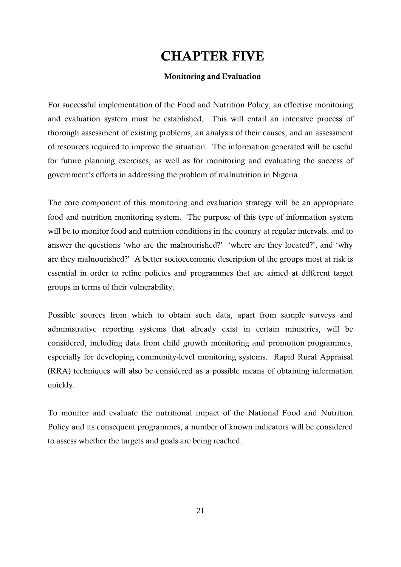# **CHAPTER FIVE**

### **Monitoring and Evaluation**

For successful implementation of the Food and Nutrition Policy, an effective monitoring and evaluation system must be established. This will entail an intensive process of thorough assessment of existing problems, an analysis of their causes, and an assessment of resources required to improve the situation. The information generated will be useful for future planning exercises, as well as for monitoring and evaluating the success of government's efforts in addressing the problem of malnutrition in Nigeria.

The core component of this monitoring and evaluation strategy will be an appropriate food and nutrition monitoring system. The purpose of this type of information system will be to monitor food and nutrition conditions in the country at regular intervals, and to answer the questions 'who are the malnourished?' 'where are they located?', and 'why are they malnourished?' A better socioeconomic description of the groups most at risk is essential in order to refine policies and programmes that are aimed at different target groups in terms of their vulnerability.

Possible sources from which to obtain such data, apart from sample surveys and administrative reporting systems that already exist in certain ministries, will be considered, including data from child growth monitoring and promotion programmes, especially for developing community-level monitoring systems. Rapid Rural Appraisal (RRA) techniques will also be considered as a possible means of obtaining information quickly.

To monitor and evaluate the nutritional impact of the National Food and Nutrition Policy and its consequent programmes, a number of known indicators will be considered to assess whether the targets and goals are being reached.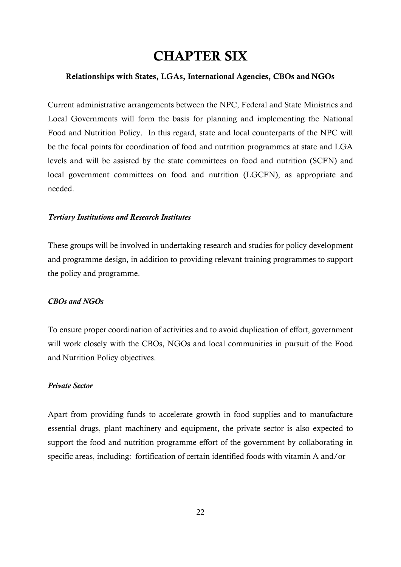# **CHAPTER SIX**

#### **Relationships with States, LGAs, International Agencies, CBOs and NGOs**

Current administrative arrangements between the NPC, Federal and State Ministries and Local Governments will form the basis for planning and implementing the National Food and Nutrition Policy. In this regard, state and local counterparts of the NPC will be the focal points for coordination of food and nutrition programmes at state and LGA levels and will be assisted by the state committees on food and nutrition (SCFN) and local government committees on food and nutrition (LGCFN), as appropriate and needed.

#### *Tertiary Institutions and Research Institutes*

These groups will be involved in undertaking research and studies for policy development and programme design, in addition to providing relevant training programmes to support the policy and programme.

#### *CBOs and NGOs*

To ensure proper coordination of activities and to avoid duplication of effort, government will work closely with the CBOs, NGOs and local communities in pursuit of the Food and Nutrition Policy objectives.

#### *Private Sector*

Apart from providing funds to accelerate growth in food supplies and to manufacture essential drugs, plant machinery and equipment, the private sector is also expected to support the food and nutrition programme effort of the government by collaborating in specific areas, including: fortification of certain identified foods with vitamin A and/or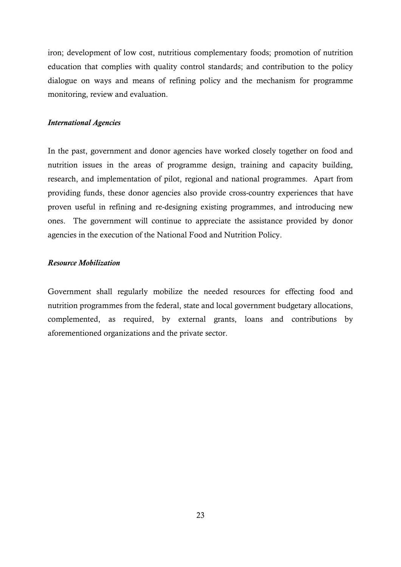iron; development of low cost, nutritious complementary foods; promotion of nutrition education that complies with quality control standards; and contribution to the policy dialogue on ways and means of refining policy and the mechanism for programme monitoring, review and evaluation.

#### *International Agencies*

In the past, government and donor agencies have worked closely together on food and nutrition issues in the areas of programme design, training and capacity building, research, and implementation of pilot, regional and national programmes. Apart from providing funds, these donor agencies also provide cross-country experiences that have proven useful in refining and re-designing existing programmes, and introducing new ones. The government will continue to appreciate the assistance provided by donor agencies in the execution of the National Food and Nutrition Policy.

#### *Resource Mobilization*

Government shall regularly mobilize the needed resources for effecting food and nutrition programmes from the federal, state and local government budgetary allocations, complemented, as required, by external grants, loans and contributions by aforementioned organizations and the private sector.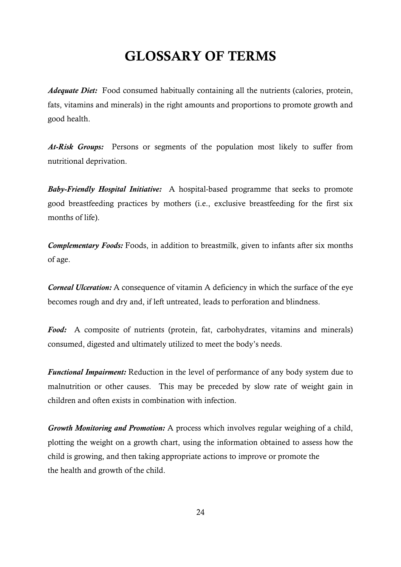# **GLOSSARY OF TERMS**

*Adequate Diet:*Food consumed habitually containing all the nutrients (calories, protein, fats, vitamins and minerals) in the right amounts and proportions to promote growth and good health.

*At-Risk Groups:* Persons or segments of the population most likely to suffer from nutritional deprivation.

*Baby-Friendly Hospital Initiative:* A hospital-based programme that seeks to promote good breastfeeding practices by mothers (i.e., exclusive breastfeeding for the first six months of life).

*Complementary Foods:* Foods, in addition to breastmilk, given to infants after six months of age.

*Corneal Ulceration:* A consequence of vitamin A deficiency in which the surface of the eye becomes rough and dry and, if left untreated, leads to perforation and blindness.

*Food:* A composite of nutrients (protein, fat, carbohydrates, vitamins and minerals) consumed, digested and ultimately utilized to meet the body's needs.

*Functional Impairment:* Reduction in the level of performance of any body system due to malnutrition or other causes. This may be preceded by slow rate of weight gain in children and often exists in combination with infection.

*Growth Monitoring and Promotion:* A process which involves regular weighing of a child, plotting the weight on a growth chart, using the information obtained to assess how the child is growing, and then taking appropriate actions to improve or promote the the health and growth of the child.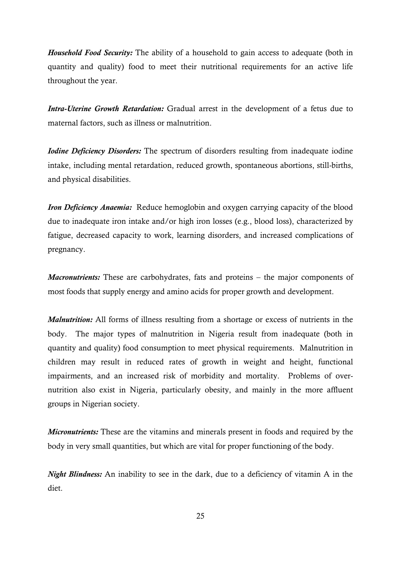*Household Food Security:* The ability of a household to gain access to adequate (both in quantity and quality) food to meet their nutritional requirements for an active life throughout the year.

*Intra-Uterine Growth Retardation:* Gradual arrest in the development of a fetus due to maternal factors, such as illness or malnutrition.

*Iodine Deficiency Disorders:* The spectrum of disorders resulting from inadequate iodine intake, including mental retardation, reduced growth, spontaneous abortions, still-births, and physical disabilities.

*Iron Deficiency Anaemia:* Reduce hemoglobin and oxygen carrying capacity of the blood due to inadequate iron intake and/or high iron losses (e.g., blood loss), characterized by fatigue, decreased capacity to work, learning disorders, and increased complications of pregnancy.

*Macronutrients:* These are carbohydrates, fats and proteins – the major components of most foods that supply energy and amino acids for proper growth and development.

*Malnutrition:* All forms of illness resulting from a shortage or excess of nutrients in the body. The major types of malnutrition in Nigeria result from inadequate (both in quantity and quality) food consumption to meet physical requirements. Malnutrition in children may result in reduced rates of growth in weight and height, functional impairments, and an increased risk of morbidity and mortality. Problems of overnutrition also exist in Nigeria, particularly obesity, and mainly in the more affluent groups in Nigerian society.

*Micronutrients:* These are the vitamins and minerals present in foods and required by the body in very small quantities, but which are vital for proper functioning of the body.

*Night Blindness:* An inability to see in the dark, due to a deficiency of vitamin A in the diet.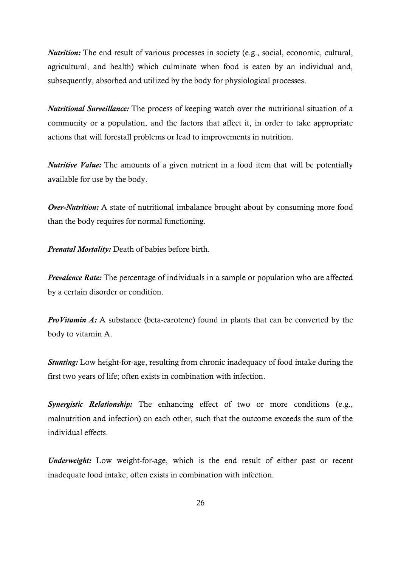*Nutrition:* The end result of various processes in society (e.g., social, economic, cultural, agricultural, and health) which culminate when food is eaten by an individual and, subsequently, absorbed and utilized by the body for physiological processes.

*Nutritional Surveillance:* The process of keeping watch over the nutritional situation of a community or a population, and the factors that affect it, in order to take appropriate actions that will forestall problems or lead to improvements in nutrition.

*Nutritive Value:* The amounts of a given nutrient in a food item that will be potentially available for use by the body.

*Over-Nutrition:* A state of nutritional imbalance brought about by consuming more food than the body requires for normal functioning.

*Prenatal Mortality:* Death of babies before birth.

*Prevalence Rate:* The percentage of individuals in a sample or population who are affected by a certain disorder or condition.

*ProVitamin A:* A substance (beta-carotene) found in plants that can be converted by the body to vitamin A.

*Stunting:* Low height-for-age, resulting from chronic inadequacy of food intake during the first two years of life; often exists in combination with infection.

*Synergistic Relationship:* The enhancing effect of two or more conditions (e.g., malnutrition and infection) on each other, such that the outcome exceeds the sum of the individual effects.

*Underweight:* Low weight-for-age, which is the end result of either past or recent inadequate food intake; often exists in combination with infection.